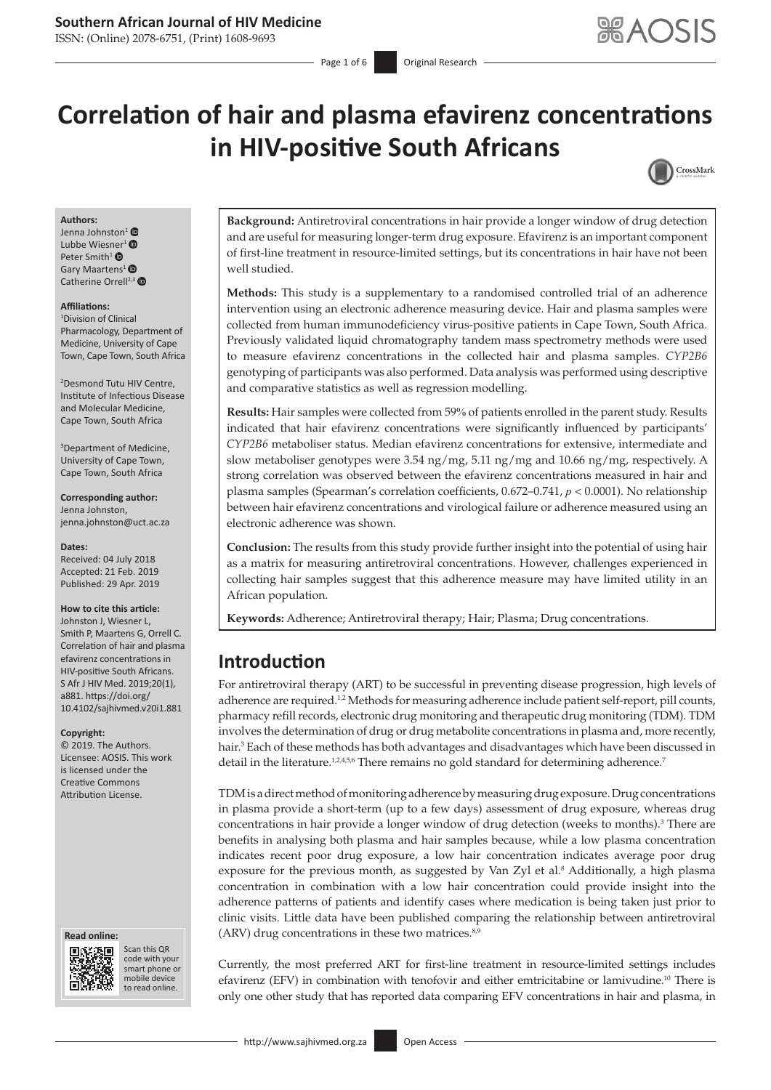# **Southern African Journal of HIV Medicine**

ISSN: (Online) 2078-6751, (Print) 1608-9693

# **Correlation of hair and plasma efavirenz concentrations in HIV-positive South Africans**



#### **Authors:**

Jenna Johnston<sup>1</sup> Lubbe Wies[ner](https://orcid.org/0000-0001-8966-8311)<sup>1</sup> $\bullet$ Peter Smith<sup>1</sup> <sup>O</sup> Gary Maartens<sup>[1](https://orcid.org/0000-0003-3080-6606)</sup> Catherine Orrell<sup>2,[3](https://orcid.org/0000-0003-1134-7475)</sup>

#### **Affiliations:**

1 Division of Clinical Pharmacology, Department of Medicine, University of Cape Town, Cape Town, South Africa

2 Desmond Tutu HIV Centre, Institute of Infectious Disease and Molecular Medicine, Cape Town, South Africa

3 Department of Medicine, University of Cape Town, Cape Town, South Africa

**Corresponding author:** Jenna Johnston, [jenna.johnston@uct.ac.za](mailto:jenna.johnston@uct.ac.za)

**Dates:** Received: 04 July 2018 Accepted: 21 Feb. 2019

# Published: 29 Apr. 2019 **How to cite this article:**

Johnston J, Wiesner L, Smith P, Maartens G, Orrell C. Correlation of hair and plasma efavirenz concentrations in HIV-positive South Africans. S Afr J HIV Med. 2019;20(1), a881. [https://doi.org/](https://doi.org/10.4102/sajhivmed.v20i1.881) [10.4102/sajhivmed.v20i1.881](https://doi.org/10.4102/sajhivmed.v20i1.881)

#### **Copyright:**

© 2019. The Authors. Licensee: AOSIS. This work is licensed under the Creative Commons Attribution License.

#### **Read online: Read online:**



Scan this QR code with your Scan this QR<br>code with your<br>smart phone or<br>mobile device mobile device to read online. to read online.

**Background:** Antiretroviral concentrations in hair provide a longer window of drug detection and are useful for measuring longer-term drug exposure. Efavirenz is an important component of first-line treatment in resource-limited settings, but its concentrations in hair have not been well studied.

**Methods:** This study is a supplementary to a randomised controlled trial of an adherence intervention using an electronic adherence measuring device. Hair and plasma samples were collected from human immunodeficiency virus-positive patients in Cape Town, South Africa. Previously validated liquid chromatography tandem mass spectrometry methods were used to measure efavirenz concentrations in the collected hair and plasma samples. *CYP2B6* genotyping of participants was also performed. Data analysis was performed using descriptive and comparative statistics as well as regression modelling.

**Results:** Hair samples were collected from 59% of patients enrolled in the parent study. Results indicated that hair efavirenz concentrations were significantly influenced by participants' *CYP2B6* metaboliser status. Median efavirenz concentrations for extensive, intermediate and slow metaboliser genotypes were 3.54 ng/mg, 5.11 ng/mg and 10.66 ng/mg, respectively. A strong correlation was observed between the efavirenz concentrations measured in hair and plasma samples (Spearman's correlation coefficients, 0.672–0.741, *p* < 0.0001). No relationship between hair efavirenz concentrations and virological failure or adherence measured using an electronic adherence was shown.

**Conclusion:** The results from this study provide further insight into the potential of using hair as a matrix for measuring antiretroviral concentrations. However, challenges experienced in collecting hair samples suggest that this adherence measure may have limited utility in an African population.

**Keywords:** Adherence; Antiretroviral therapy; Hair; Plasma; Drug concentrations.

# **Introduction**

<span id="page-0-0"></span>For antiretroviral therapy (ART) to be successful in preventing disease progression, high levels of adherence are required.<sup>1[,2](#page-5-0)</sup> Methods for measuring adherence include patient self-report, pill counts, pharmacy refill records, electronic drug monitoring and therapeutic drug monitoring (TDM). TDM involves the determination of drug or drug metabolite concentrations in plasma and, more recently, hair.3 Each of these methods has both advantages and disadvantages which have been discussed in detail in the literature.<sup>1,[2,](#page-5-0)4,5,6</sup> There remains no gold standard for determining adherence.<sup>7</sup>

TDM is a direct method of monitoring adherence by measuring drug exposure. Drug concentrations in plasma provide a short-term (up to a few days) assessment of drug exposure, whereas drug concentrations in hair provide a longer window of drug detection (weeks to months).<sup>3</sup> There are benefits in analysing both plasma and hair samples because, while a low plasma concentration indicates recent poor drug exposure, a low hair concentration indicates average poor drug exposure for the previous month, as suggested by Van  $Zyl$  et al.<sup>8</sup> Additionally, a high plasma concentration in combination with a low hair concentration could provide insight into the adherence patterns of patients and identify cases where medication is being taken just prior to clinic visits. Little data have been published comparing the relationship between antiretroviral  $(ARV)$  drug concentrations in these two matrices. $8,9$ 

<span id="page-0-1"></span>Currently, the most preferred ART for first-line treatment in resource-limited settings includes efavirenz (EFV) in combination with tenofovir and either emtricitabine or lamivudine.[10](#page-5-1) There is only one other study that has reported data comparing EFV concentrations in hair and plasma, in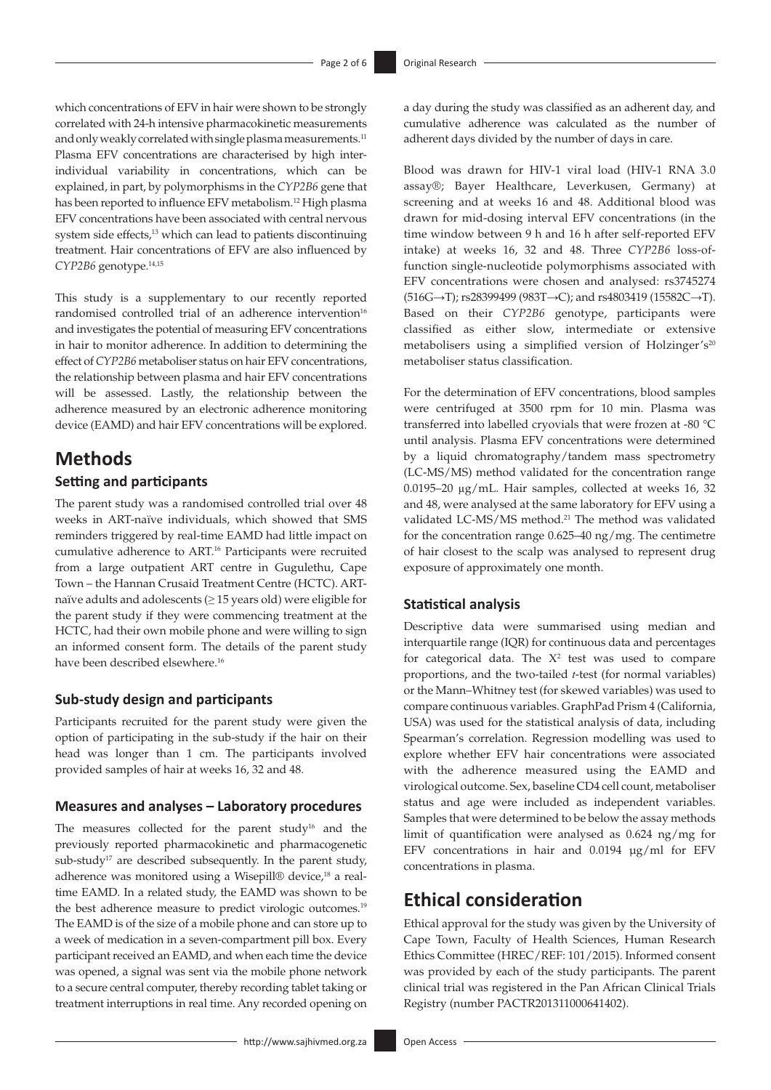<span id="page-1-1"></span><span id="page-1-0"></span>which concentrations of EFV in hair were shown to be strongly correlated with 24-h intensive pharmacokinetic measurements and only weakly correlated with single plasma measurements.<sup>[11](#page-5-2)</sup> Plasma EFV concentrations are characterised by high interindividual variability in concentrations, which can be explained, in part, by polymorphisms in the *CYP2B6* gene that has been reported to influence EFV metabolism.12 High plasma EFV concentrations have been associated with central nervous system side effects,<sup>13</sup> which can lead to patients discontinuing treatment. Hair concentrations of EFV are also influenced by *CYP2B6* genotype.14[,15](#page-5-3)

<span id="page-1-5"></span><span id="page-1-3"></span><span id="page-1-2"></span>This study is a supplementary to our recently reported randomised controlled trial of an adherence intervention<sup>16</sup> and investigates the potential of measuring EFV concentrations in hair to monitor adherence. In addition to determining the effect of *CYP2B6* metaboliser status on hair EFV concentrations, the relationship between plasma and hair EFV concentrations will be assessed. Lastly, the relationship between the adherence measured by an electronic adherence monitoring device (EAMD) and hair EFV concentrations will be explored.

# **Methods**

## **Setting and participants**

The parent study was a randomised controlled trial over 48 weeks in ART-naïve individuals, which showed that SMS reminders triggered by real-time EAMD had little impact on cumulative adherence to ART.<sup>16</sup> Participants were recruited from a large outpatient ART centre in Gugulethu, Cape Town – the Hannan Crusaid Treatment Centre (HCTC). ARTnaïve adults and adolescents ( $\geq$  15 years old) were eligible for the parent study if they were commencing treatment at the HCTC, had their own mobile phone and were willing to sign an informed consent form. The details of the parent study have been described elsewhere.<sup>[16](#page-5-4)</sup>

### **Sub-study design and participants**

Participants recruited for the parent study were given the option of participating in the sub-study if the hair on their head was longer than 1 cm. The participants involved provided samples of hair at weeks 16, 32 and 48.

### **Measures and analyses – Laboratory procedures**

<span id="page-1-8"></span><span id="page-1-7"></span><span id="page-1-6"></span>The measures collected for the parent study<sup>16</sup> and the previously reported pharmacokinetic and pharmacogenetic  $sub-study<sup>17</sup>$  are described subsequently. In the parent study, adherence was monitored using a Wisepill® device,<sup>18</sup> a realtime EAMD. In a related study, the EAMD was shown to be the best adherence measure to predict virologic outcomes.<sup>19</sup> The EAMD is of the size of a mobile phone and can store up to a week of medication in a seven-compartment pill box. Every participant received an EAMD, and when each time the device was opened, a signal was sent via the mobile phone network to a secure central computer, thereby recording tablet taking or treatment interruptions in real time. Any recorded opening on

a day during the study was classified as an adherent day, and cumulative adherence was calculated as the number of adherent days divided by the number of days in care.

<span id="page-1-4"></span>Blood was drawn for HIV-1 viral load (HIV-1 RNA 3.0 assay®; Bayer Healthcare, Leverkusen, Germany) at screening and at weeks 16 and 48. Additional blood was drawn for mid-dosing interval EFV concentrations (in the time window between 9 h and 16 h after self-reported EFV intake) at weeks 16, 32 and 48. Three *CYP2B6* loss-offunction single-nucleotide polymorphisms associated with EFV concentrations were chosen and analysed: rs3745274 (516G→T); rs28399499 (983T→C); and rs4803419 (15582C→T). Based on their *CYP2B6* genotype, participants were classified as either slow, intermediate or extensive metabolisers using a simplified version of Holzinger's<sup>20</sup> metaboliser status classification.

<span id="page-1-9"></span>For the determination of EFV concentrations, blood samples were centrifuged at 3500 rpm for 10 min. Plasma was transferred into labelled cryovials that were frozen at -80 °C until analysis. Plasma EFV concentrations were determined by a liquid chromatography/tandem mass spectrometry (LC-MS/MS) method validated for the concentration range 0.0195–20 µg/mL. Hair samples, collected at weeks 16, 32 and 48, were analysed at the same laboratory for EFV using a validated LC-MS/MS method.[21](#page-5-9) The method was validated for the concentration range 0.625–40 ng/mg. The centimetre of hair closest to the scalp was analysed to represent drug exposure of approximately one month.

#### <span id="page-1-10"></span>**Statistical analysis**

Descriptive data were summarised using median and interquartile range (IQR) for continuous data and percentages for categorical data. The  $X^2$  test was used to compare proportions, and the two-tailed *t*-test (for normal variables) or the Mann–Whitney test (for skewed variables) was used to compare continuous variables. GraphPad Prism 4 (California, USA) was used for the statistical analysis of data, including Spearman's correlation. Regression modelling was used to explore whether EFV hair concentrations were associated with the adherence measured using the EAMD and virological outcome. Sex, baseline CD4 cell count, metaboliser status and age were included as independent variables. Samples that were determined to be below the assay methods limit of quantification were analysed as 0.624 ng/mg for EFV concentrations in hair and 0.0194 µg/ml for EFV concentrations in plasma.

# **Ethical consideration**

Ethical approval for the study was given by the University of Cape Town, Faculty of Health Sciences, Human Research Ethics Committee (HREC/REF: 101/2015). Informed consent was provided by each of the study participants. The parent clinical trial was registered in the Pan African Clinical Trials Registry (number PACTR201311000641402).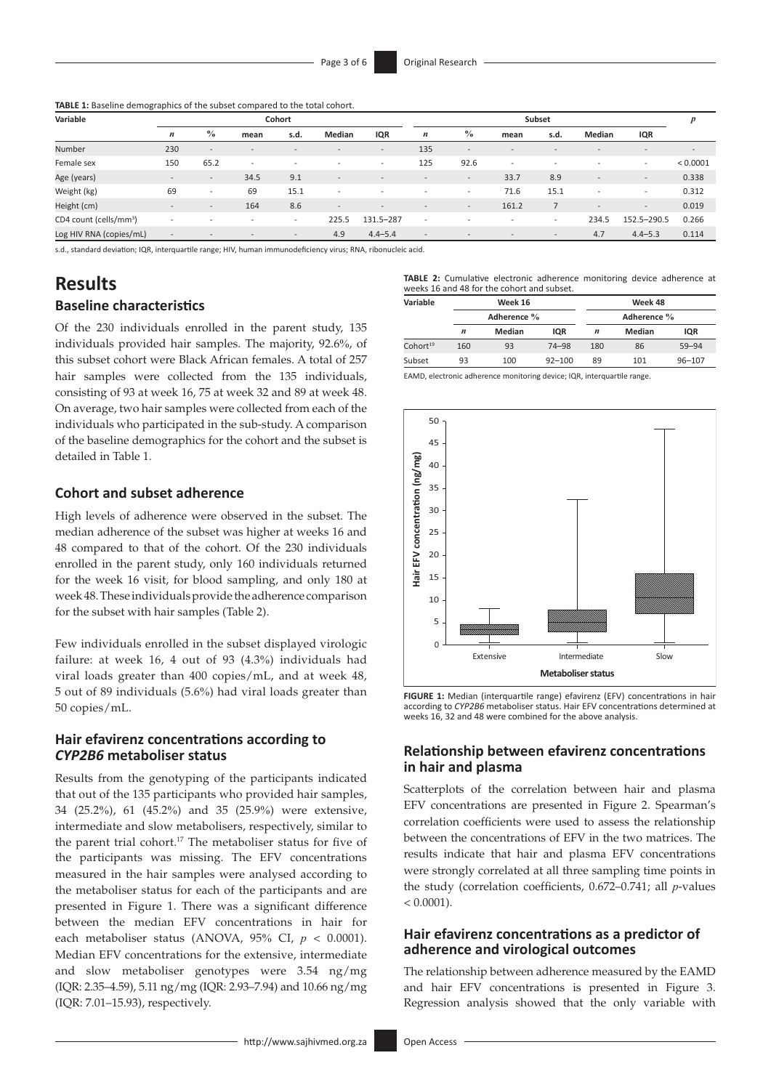**TABLE 1:** Baseline demographics of the subset compared to the total cohort.

| Variable                           | Cohort                   |                          |                          |                          |                          |                              | Subset                   |                          |                          |                          |                          |                          | p                        |
|------------------------------------|--------------------------|--------------------------|--------------------------|--------------------------|--------------------------|------------------------------|--------------------------|--------------------------|--------------------------|--------------------------|--------------------------|--------------------------|--------------------------|
|                                    | $\boldsymbol{n}$         | $\%$                     | mean                     | s.d.                     | Median                   | <b>IQR</b>                   | $\boldsymbol{n}$         | $\frac{0}{0}$            | mean                     | s.d.                     | Median                   | IQR                      |                          |
| Number                             | 230                      | $\overline{\phantom{0}}$ | $\overline{\phantom{0}}$ | $\overline{\phantom{a}}$ | $\overline{\phantom{a}}$ | $\overline{\phantom{a}}$     | 135                      | $\overline{\phantom{a}}$ | $\overline{\phantom{0}}$ |                          | $\overline{\phantom{a}}$ | $\overline{\phantom{a}}$ | $\overline{\phantom{a}}$ |
| Female sex                         | 150                      | 65.2                     | $\overline{\phantom{a}}$ | $\overline{\phantom{a}}$ | $\overline{\phantom{a}}$ | $\overline{\phantom{a}}$     | 125                      | 92.6                     | $\overline{\phantom{a}}$ | $\overline{\phantom{a}}$ | $\overline{\phantom{a}}$ | $\overline{\phantom{a}}$ | < 0.0001                 |
| Age (years)                        | $\overline{\phantom{a}}$ | $\overline{\phantom{a}}$ | 34.5                     | 9.1                      | . .                      | $\overline{\phantom{a}}$     |                          | $\overline{\phantom{a}}$ | 33.7                     | 8.9                      | $\overline{\phantom{a}}$ | $\overline{\phantom{a}}$ | 0.338                    |
| Weight (kg)                        | 69                       | $\overline{\phantom{0}}$ | 69                       | 15.1                     | $\overline{\phantom{a}}$ | $\qquad \qquad \blacksquare$ | $\overline{\phantom{a}}$ | $\sim$                   | 71.6                     | 15.1                     | $\overline{\phantom{a}}$ | $\overline{\phantom{a}}$ | 0.312                    |
| Height (cm)                        | $\overline{\phantom{a}}$ | $\overline{\phantom{a}}$ | 164                      | 8.6                      | $\overline{\phantom{a}}$ | $\overline{\phantom{0}}$     | $\overline{\phantom{a}}$ | $\overline{\phantom{a}}$ | 161.2                    |                          | $\overline{\phantom{a}}$ | $\overline{\phantom{a}}$ | 0.019                    |
| CD4 count (cells/mm <sup>3</sup> ) | $\overline{\phantom{a}}$ | $\overline{\phantom{a}}$ | $\overline{\phantom{a}}$ | $\overline{\phantom{a}}$ | 225.5                    | 131.5-287                    | $\overline{\phantom{a}}$ |                          | $\overline{\phantom{a}}$ | $\overline{\phantom{a}}$ | 234.5                    | 152.5-290.5              | 0.266                    |
| Log HIV RNA (copies/mL)            | $\overline{\phantom{a}}$ |                          | $\overline{\phantom{a}}$ | $\qquad \qquad -$        | 4.9                      | $4.4 - 5.4$                  | $\overline{\phantom{a}}$ |                          |                          | $\qquad \qquad -$        | 4.7                      | $4.4 - 5.3$              | 0.114                    |

s.d., standard deviation; IQR, interquartile range; HIV, human immunodeficiency virus; RNA, ribonucleic acid.

# **Results Baseline characteristics**

Of the 230 individuals enrolled in the parent study, 135 individuals provided hair samples. The majority, 92.6%, of this subset cohort were Black African females. A total of 257 hair samples were collected from the 135 individuals, consisting of 93 at week 16, 75 at week 32 and 89 at week 48. On average, two hair samples were collected from each of the individuals who participated in the sub-study. A comparison of the baseline demographics for the cohort and the subset is detailed in Table 1.

#### **Cohort and subset adherence**

High levels of adherence were observed in the subset. The median adherence of the subset was higher at weeks 16 and 48 compared to that of the cohort. Of the 230 individuals enrolled in the parent study, only 160 individuals returned for the week 16 visit, for blood sampling, and only 180 at week 48. These individuals provide the adherence comparison for the subset with hair samples (Table 2).

Few individuals enrolled in the subset displayed virologic failure: at week 16, 4 out of 93 (4.3%) individuals had viral loads greater than 400 copies/mL, and at week 48, 5 out of 89 individuals (5.6%) had viral loads greater than 50 copies/mL.

### **Hair efavirenz concentrations according to**  *CYP2B6* **metaboliser status**

Results from the genotyping of the participants indicated that out of the 135 participants who provided hair samples, 34 (25.2%), 61 (45.2%) and 35 (25.9%) were extensive, intermediate and slow metabolisers, respectively, similar to the parent trial cohort.<sup>17</sup> The metaboliser status for five of the participants was missing. The EFV concentrations measured in the hair samples were analysed according to the metaboliser status for each of the participants and are presented in Figure 1. There was a significant difference between the median EFV concentrations in hair for each metaboliser status (ANOVA, 95% CI, *p* < 0.0001). Median EFV concentrations for the extensive, intermediate and slow metaboliser genotypes were 3.54 ng/mg (IQR: 2.35–4.59), 5.11 ng/mg (IQR: 2.93–7.94) and 10.66 ng/mg (IQR: 7.01–15.93), respectively.

**TABLE 2:** Cumulative electronic adherence monitoring device adherence at weeks 16 and 48 for the cohort and subset.

| Variable             |     | Week 16     |            | Week 48     |        |            |  |  |  |
|----------------------|-----|-------------|------------|-------------|--------|------------|--|--|--|
|                      |     | Adherence % |            | Adherence % |        |            |  |  |  |
|                      | n   | Median      | <b>IQR</b> | n           | Median | <b>IQR</b> |  |  |  |
| Cohort <sup>19</sup> | 160 | 93          | $74 - 98$  | 180         | 86     | 59-94      |  |  |  |
| Subset               | 93  | 100         | $92 - 100$ | 89          | 101    | $96 - 107$ |  |  |  |

EAMD, electronic adherence monitoring device; IQR, interquartile range.



**FIGURE 1:** Median (interquartile range) efavirenz (EFV) concentrations in hair according to *CYP2B6* metaboliser status. Hair EFV concentrations determined at weeks 16, 32 and 48 were combined for the above analysis.

#### **Relationship between efavirenz concentrations in hair and plasma**

Scatterplots of the correlation between hair and plasma EFV concentrations are presented in Figure 2. Spearman's correlation coefficients were used to assess the relationship between the concentrations of EFV in the two matrices. The results indicate that hair and plasma EFV concentrations were strongly correlated at all three sampling time points in the study (correlation coefficients, 0.672–0.741; all *p*-values  $< 0.0001$ ).

### **Hair efavirenz concentrations as a predictor of adherence and virological outcomes**

The relationship between adherence measured by the EAMD and hair EFV concentrations is presented in Figure 3. Regression analysis showed that the only variable with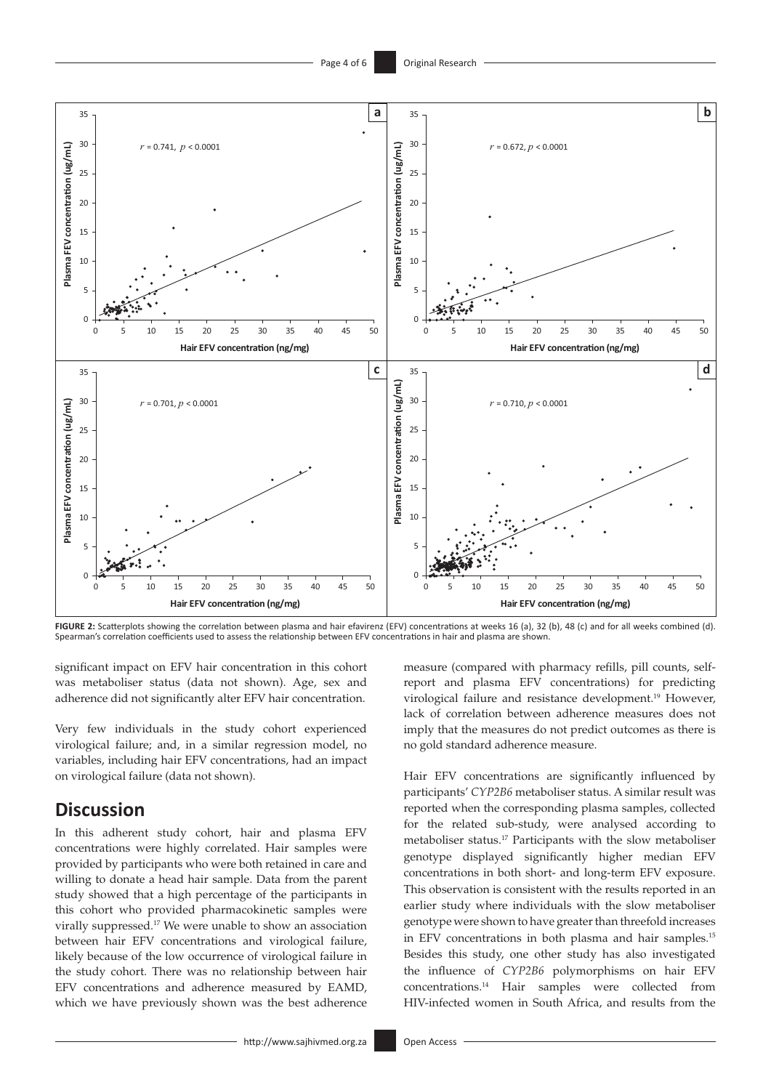

**FIGURE 2:** Scatterplots showing the correlation between plasma and hair efavirenz (EFV) concentrations at weeks 16 (a), 32 (b), 48 (c) and for all weeks combined (d). Spearman's correlation coefficients used to assess the relationship between EFV concentrations in hair and plasma are shown.

significant impact on EFV hair concentration in this cohort was metaboliser status (data not shown). Age, sex and adherence did not significantly alter EFV hair concentration.

Very few individuals in the study cohort experienced virological failure; and, in a similar regression model, no variables, including hair EFV concentrations, had an impact on virological failure (data not shown).

# **Discussion**

In this adherent study cohort, hair and plasma EFV concentrations were highly correlated. Hair samples were provided by participants who were both retained in care and willing to donate a head hair sample. Data from the parent study showed that a high percentage of the participants in this cohort who provided pharmacokinetic samples were virally suppressed.[17](#page-5-5) We were unable to show an association between hair EFV concentrations and virological failure, likely because of the low occurrence of virological failure in the study cohort. There was no relationship between hair EFV concentrations and adherence measured by EAMD, which we have previously shown was the best adherence

measure (compared with pharmacy refills, pill counts, selfreport and plasma EFV concentrations) for predicting virological failure and resistance development.<sup>[19](#page-5-7)</sup> However, lack of correlation between adherence measures does not imply that the measures do not predict outcomes as there is no gold standard adherence measure.

Hair EFV concentrations are significantly influenced by participants' *CYP2B6* metaboliser status. A similar result was reported when the corresponding plasma samples, collected for the related sub-study, were analysed according to metaboliser status[.17](#page-5-5) Participants with the slow metaboliser genotype displayed significantly higher median EFV concentrations in both short- and long-term EFV exposure. This observation is consistent with the results reported in an earlier study where individuals with the slow metaboliser genotype were shown to have greater than threefold increases in EFV concentrations in both plasma and hair samples.[15](#page-5-3) Besides this study, one other study has also investigated the influence of *CYP2B6* polymorphisms on hair EFV concentrations.14 Hair samples were collected from HIV-infected women in South Africa, and results from the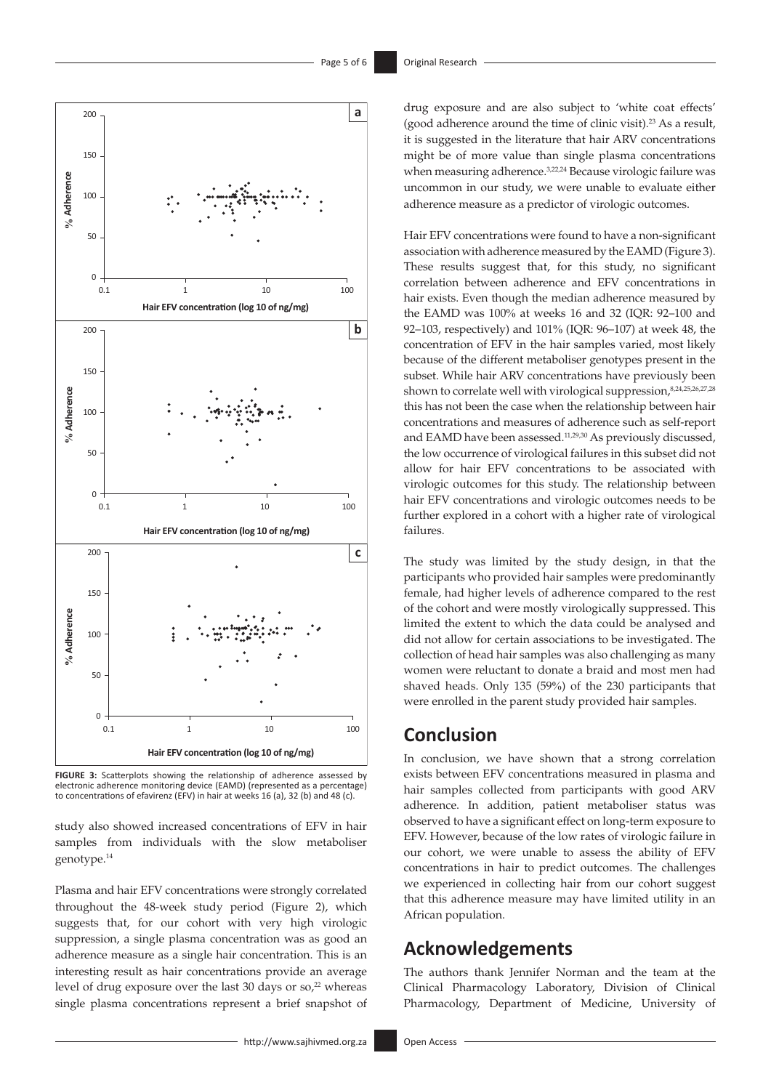

**FIGURE 3:** Scatterplots showing the relationship of adherence assessed by electronic adherence monitoring device (EAMD) (represented as a percentage) to concentrations of efavirenz (EFV) in hair at weeks 16 (a), 32 (b) and 48 (c).

study also showed increased concentrations of EFV in hair samples from individuals with the slow metaboliser genotype.14

<span id="page-4-0"></span>Plasma and hair EFV concentrations were strongly correlated throughout the 48-week study period (Figure 2), which suggests that, for our cohort with very high virologic suppression, a single plasma concentration was as good an adherence measure as a single hair concentration. This is an interesting result as hair concentrations provide an average level of drug exposure over the last 30 days or  $\text{so,}^{22}$  whereas single plasma concentrations represent a brief snapshot of <span id="page-4-1"></span>drug exposure and are also subject to 'white coat effects' (good adherence around the time of clinic visit).23 As a result, it is suggested in the literature that hair ARV concentrations might be of more value than single plasma concentrations when measuring adherence.<sup>3,[22](#page-5-10),24</sup> Because virologic failure was uncommon in our study, we were unable to evaluate either adherence measure as a predictor of virologic outcomes.

Hair EFV concentrations were found to have a non-significant association with adherence measured by the EAMD (Figure 3). These results suggest that, for this study, no significant correlation between adherence and EFV concentrations in hair exists. Even though the median adherence measured by the EAMD was 100% at weeks 16 and 32 (IQR: 92–100 and 92–103, respectively) and 101% (IQR: 96–107) at week 48, the concentration of EFV in the hair samples varied, most likely because of the different metaboliser genotypes present in the subset. While hair ARV concentrations have previously been shown to correlate well with virological suppression, 8,24,25,26,27,28 this has not been the case when the relationship between hair concentrations and measures of adherence such as self-report and EAMD have been assessed.<sup>[11,](#page-5-2)29,30</sup> As previously discussed, the low occurrence of virological failures in this subset did not allow for hair EFV concentrations to be associated with virologic outcomes for this study. The relationship between hair EFV concentrations and virologic outcomes needs to be further explored in a cohort with a higher rate of virological failures.

The study was limited by the study design, in that the participants who provided hair samples were predominantly female, had higher levels of adherence compared to the rest of the cohort and were mostly virologically suppressed. This limited the extent to which the data could be analysed and did not allow for certain associations to be investigated. The collection of head hair samples was also challenging as many women were reluctant to donate a braid and most men had shaved heads. Only 135 (59%) of the 230 participants that were enrolled in the parent study provided hair samples.

# **Conclusion**

In conclusion, we have shown that a strong correlation exists between EFV concentrations measured in plasma and hair samples collected from participants with good ARV adherence. In addition, patient metaboliser status was observed to have a significant effect on long-term exposure to EFV. However, because of the low rates of virologic failure in our cohort, we were unable to assess the ability of EFV concentrations in hair to predict outcomes. The challenges we experienced in collecting hair from our cohort suggest that this adherence measure may have limited utility in an African population.

# **Acknowledgements**

The authors thank Jennifer Norman and the team at the Clinical Pharmacology Laboratory, Division of Clinical Pharmacology, Department of Medicine, University of